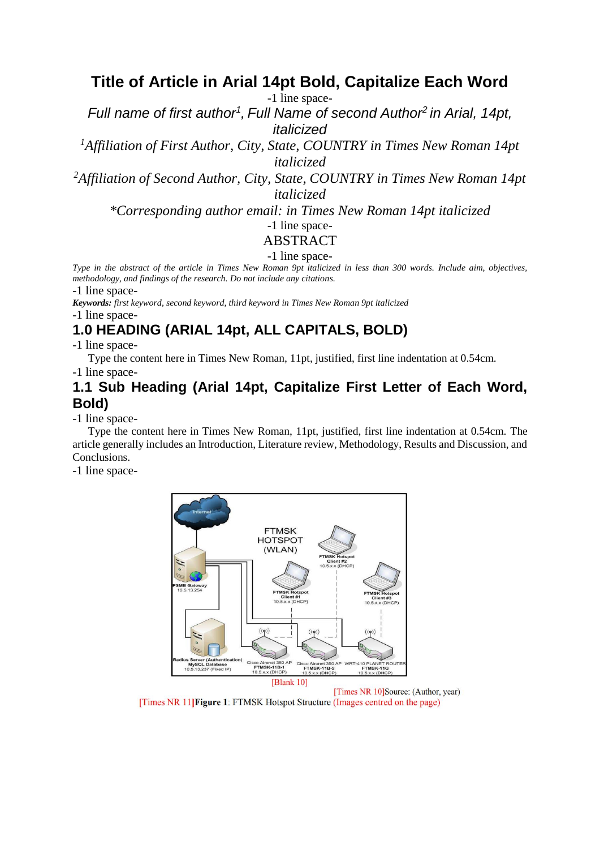## **Title of Article in Arial 14pt Bold, Capitalize Each Word**

-1 line space-

*Full name of first author<sup>1</sup> , Full Name of second Author<sup>2</sup> in Arial, 14pt, italicized*

*<sup>1</sup>Affiliation of First Author, City, State, COUNTRY in Times New Roman 14pt italicized*

*<sup>2</sup>Affiliation of Second Author, City, State, COUNTRY in Times New Roman 14pt italicized*

*\*Corresponding author email: in Times New Roman 14pt italicized*

## -1 line space-

#### ABSTRACT

#### -1 line space-

*Type in the abstract of the article in Times New Roman 9pt italicized in less than 300 words. Include aim, objectives, methodology, and findings of the research. Do not include any citations.* 

-1 line space-

*Keywords: first keyword, second keyword, third keyword in Times New Roman 9pt italicized* -1 line space-

## **1.0 HEADING (ARIAL 14pt, ALL CAPITALS, BOLD)**

-1 line space-

Type the content here in Times New Roman, 11pt, justified, first line indentation at 0.54cm.

-1 line space-

#### **1.1 Sub Heading (Arial 14pt, Capitalize First Letter of Each Word, Bold)**

-1 line space-

Type the content here in Times New Roman, 11pt, justified, first line indentation at 0.54cm. The article generally includes an Introduction, Literature review, Methodology, Results and Discussion, and Conclusions.

-1 line space-



[Times NR 10]Source: (Author, year) [Times NR 11] Figure 1: FTMSK Hotspot Structure (Images centred on the page)